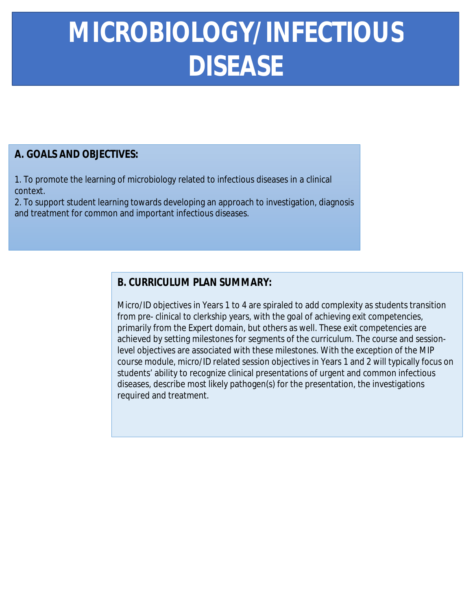## **MICROBIOLOGY/INFECTIOUS DISEASE MICROBIOLOGY/INFECTIOUS**

## **A. GOALS AND OBJECTIVES:**

1. To promote the learning of microbiology related to infectious diseases in a clinical context.

2. To support student learning towards developing an approach to investigation, diagnosis and treatment for common and important infectious diseases.

## **B. CURRICULUM PLAN SUMMARY:**

Micro/ID objectives in Years 1 to 4 are spiraled to add complexity as students transition from pre- clinical to clerkship years, with the goal of achieving exit competencies, primarily from the Expert domain, but others as well. These exit competencies are achieved by setting milestones for segments of the curriculum. The course and sessionlevel objectives are associated with these milestones. With the exception of the MIP course module, micro/ID related session objectives in Years 1 and 2 will typically focus on students' ability to recognize clinical presentations of urgent and common infectious diseases, describe most likely pathogen(s) for the presentation, the investigations required and treatment.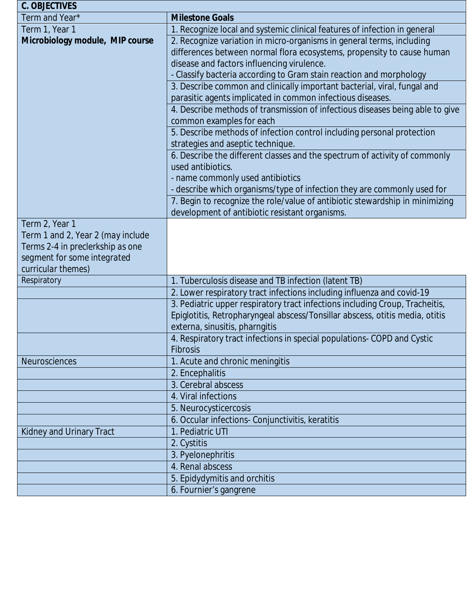| <b>C. OBJECTIVES</b>                   |                                                                                                                                                                                                                                                                                                |  |
|----------------------------------------|------------------------------------------------------------------------------------------------------------------------------------------------------------------------------------------------------------------------------------------------------------------------------------------------|--|
| <b>Term and Year*</b>                  | <b>Milestone Goals</b>                                                                                                                                                                                                                                                                         |  |
| Term 1, Year 1                         | 1. Recognize local and systemic clinical features of infection in general                                                                                                                                                                                                                      |  |
| <b>Microbiology module, MIP course</b> | 2. Recognize variation in micro-organisms in general terms, including                                                                                                                                                                                                                          |  |
|                                        | differences between normal flora ecosystems, propensity to cause human                                                                                                                                                                                                                         |  |
|                                        | disease and factors influencing virulence.                                                                                                                                                                                                                                                     |  |
|                                        | - Classify bacteria according to Gram stain reaction and morphology<br>3. Describe common and clinically important bacterial, viral, fungal and<br>parasitic agents implicated in common infectious diseases.<br>4. Describe methods of transmission of infectious diseases being able to give |  |
|                                        |                                                                                                                                                                                                                                                                                                |  |
|                                        |                                                                                                                                                                                                                                                                                                |  |
|                                        |                                                                                                                                                                                                                                                                                                |  |
|                                        | common examples for each                                                                                                                                                                                                                                                                       |  |
|                                        | 5. Describe methods of infection control including personal protection                                                                                                                                                                                                                         |  |
|                                        | strategies and aseptic technique.                                                                                                                                                                                                                                                              |  |
|                                        | 6. Describe the different classes and the spectrum of activity of commonly                                                                                                                                                                                                                     |  |
|                                        | used antibiotics.                                                                                                                                                                                                                                                                              |  |
|                                        | - name commonly used antibiotics                                                                                                                                                                                                                                                               |  |
|                                        | - describe which organisms/type of infection they are commonly used for                                                                                                                                                                                                                        |  |
|                                        | 7. Begin to recognize the role/value of antibiotic stewardship in minimizing                                                                                                                                                                                                                   |  |
|                                        | development of antibiotic resistant organisms.                                                                                                                                                                                                                                                 |  |
| Term 2, Year 1                         |                                                                                                                                                                                                                                                                                                |  |
| Term 1 and 2, Year 2 (may include      |                                                                                                                                                                                                                                                                                                |  |
| Terms 2-4 in preclerkship as one       |                                                                                                                                                                                                                                                                                                |  |
| segment for some integrated            |                                                                                                                                                                                                                                                                                                |  |
| curricular themes)                     |                                                                                                                                                                                                                                                                                                |  |
| <b>Respiratory</b>                     | 1. Tuberculosis disease and TB infection (latent TB)                                                                                                                                                                                                                                           |  |
|                                        | 2. Lower respiratory tract infections including influenza and covid-19                                                                                                                                                                                                                         |  |
|                                        | 3. Pediatric upper respiratory tract infections including Croup, Tracheitis,                                                                                                                                                                                                                   |  |
|                                        | Epiglotitis, Retropharyngeal abscess/Tonsillar abscess, otitis media, otitis                                                                                                                                                                                                                   |  |
|                                        | externa, sinusitis, pharngitis                                                                                                                                                                                                                                                                 |  |
|                                        | 4. Respiratory tract infections in special populations- COPD and Cystic                                                                                                                                                                                                                        |  |
|                                        | <b>Fibrosis</b>                                                                                                                                                                                                                                                                                |  |
| <b>Neurosciences</b>                   | 1. Acute and chronic meningitis                                                                                                                                                                                                                                                                |  |
|                                        | 2. Encephalitis                                                                                                                                                                                                                                                                                |  |
|                                        | 3. Cerebral abscess                                                                                                                                                                                                                                                                            |  |
|                                        | <b>4. Viral infections</b>                                                                                                                                                                                                                                                                     |  |
|                                        | 5. Neurocysticercosis                                                                                                                                                                                                                                                                          |  |
|                                        | 6. Occular infections- Conjunctivitis, keratitis                                                                                                                                                                                                                                               |  |
| <b>Kidney and Urinary Tract</b>        | 1. Pediatric UTI                                                                                                                                                                                                                                                                               |  |
|                                        | 2. Cystitis                                                                                                                                                                                                                                                                                    |  |
|                                        | 3. Pyelonephritis                                                                                                                                                                                                                                                                              |  |
|                                        | <b>4. Renal abscess</b>                                                                                                                                                                                                                                                                        |  |
|                                        | 5. Epidydymitis and orchitis                                                                                                                                                                                                                                                                   |  |
|                                        | 6. Fournier's gangrene                                                                                                                                                                                                                                                                         |  |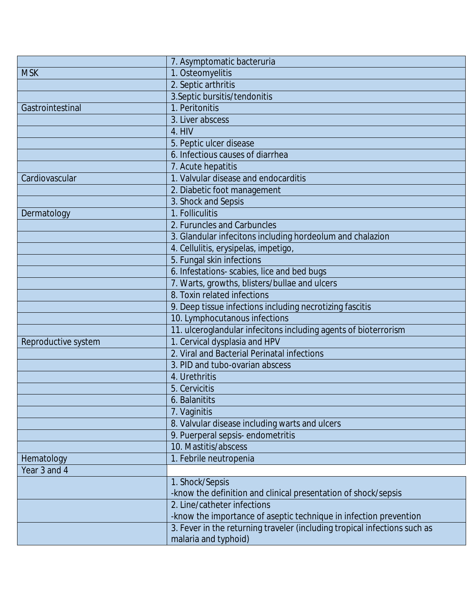|                            | 7. Asymptomatic bacteruria                                                |
|----------------------------|---------------------------------------------------------------------------|
| <b>MSK</b>                 | 1. Osteomyelitis                                                          |
|                            | 2. Septic arthritis                                                       |
|                            | 3. Septic bursitis/tendonitis                                             |
| <b>Gastrointestinal</b>    | 1. Peritonitis                                                            |
|                            | 3. Liver abscess                                                          |
|                            | <b>4. HIV</b>                                                             |
|                            | 5. Peptic ulcer disease                                                   |
|                            | 6. Infectious causes of diarrhea                                          |
|                            | 7. Acute hepatitis                                                        |
| <b>Cardiovascular</b>      | 1. Valvular disease and endocarditis                                      |
|                            | 2. Diabetic foot management                                               |
|                            | 3. Shock and Sepsis                                                       |
| <b>Dermatology</b>         | 1. Folliculitis                                                           |
|                            | 2. Furuncles and Carbuncles                                               |
|                            | 3. Glandular infecitons including hordeolum and chalazion                 |
|                            | 4. Cellulitis, erysipelas, impetigo,                                      |
|                            | 5. Fungal skin infections                                                 |
|                            | 6. Infestations-scabies, lice and bed bugs                                |
|                            | 7. Warts, growths, blisters/bullae and ulcers                             |
|                            | 8. Toxin related infections                                               |
|                            | 9. Deep tissue infections including necrotizing fascitis                  |
|                            | 10. Lymphocutanous infections                                             |
|                            | 11. ulceroglandular infecitons including agents of bioterrorism           |
| <b>Reproductive system</b> | 1. Cervical dysplasia and HPV                                             |
|                            | 2. Viral and Bacterial Perinatal infections                               |
|                            | 3. PID and tubo-ovarian abscess                                           |
|                            | 4. Urethritis                                                             |
|                            | 5. Cervicitis                                                             |
|                            | <b>6. Balanitits</b>                                                      |
|                            | 7. Vaginitis                                                              |
|                            | 8. Valvular disease including warts and ulcers                            |
|                            | 9. Puerperal sepsis-endometritis                                          |
|                            | 10. Mastitis/abscess                                                      |
| <b>Hematology</b>          | 1. Febrile neutropenia                                                    |
| Year 3 and 4               |                                                                           |
|                            | 1. Shock/Sepsis                                                           |
|                            | -know the definition and clinical presentation of shock/sepsis            |
|                            | 2. Line/catheter infections                                               |
|                            | -know the importance of aseptic technique in infection prevention         |
|                            | 3. Fever in the returning traveler (including tropical infections such as |
|                            | malaria and typhoid)                                                      |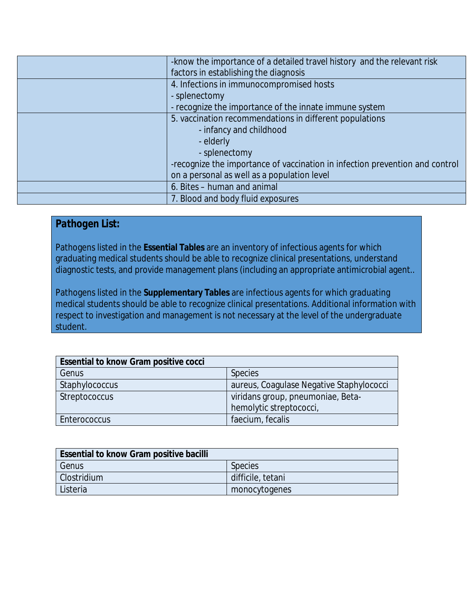|  | -know the importance of a detailed travel history and the relevant risk      |
|--|------------------------------------------------------------------------------|
|  | factors in establishing the diagnosis                                        |
|  | 4. Infections in immunocompromised hosts                                     |
|  | - splenectomy                                                                |
|  | - recognize the importance of the innate immune system                       |
|  | 5. vaccination recommendations in different populations                      |
|  | - infancy and childhood                                                      |
|  | - elderly                                                                    |
|  | - splenectomy                                                                |
|  | -recognize the importance of vaccination in infection prevention and control |
|  | on a personal as well as a population level                                  |
|  | 6. Bites - human and animal                                                  |
|  | 7. Blood and body fluid exposures                                            |

## *Pathogen List:*

Pathogens listed in the **Essential Tables** are an inventory of infectious agents for which graduating medical students should be able to recognize clinical presentations, understand diagnostic tests, and provide management plans (including an appropriate antimicrobial agent..

Pathogens listed in the **Supplementary Tables** are infectious agents for which graduating medical students should be able to recognize clinical presentations. Additional information with respect to investigation and management is not necessary at the level of the undergraduate student.

| <b>Essential to know Gram positive cocci</b> |                                          |
|----------------------------------------------|------------------------------------------|
| <b>Genus</b>                                 | <b>Species</b>                           |
| <b>Staphylococcus</b>                        | aureus, Coagulase Negative Staphylococci |
| <b>Streptococcus</b>                         | viridans group, pneumoniae, Beta-        |
|                                              | hemolytic streptococci,                  |
| <b>Enterococcus</b>                          | faecium, fecalis                         |

| <b>Essential to know Gram positive bacilli</b> |                   |
|------------------------------------------------|-------------------|
| <b>Genus</b>                                   | <b>Species</b>    |
| <b>Clostridium</b>                             | difficile, tetani |
| Listeria                                       | monocytogenes     |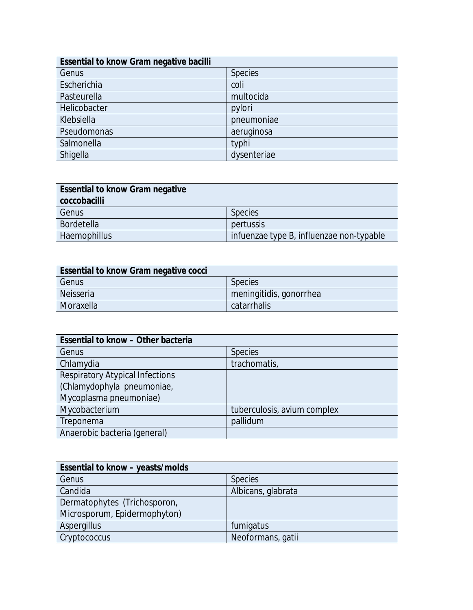| <b>Essential to know Gram negative bacilli</b> |                |
|------------------------------------------------|----------------|
| <b>Genus</b>                                   | <b>Species</b> |
| Escherichia                                    | coli           |
| Pasteurella                                    | multocida      |
| Helicobacter                                   | pylori         |
| Klebsiella                                     | pneumoniae     |
| <b>Pseudomonas</b>                             | aeruginosa     |
| Salmonella                                     | typhi          |
| <b>Shigella</b>                                | dysenteriae    |

| <b>Essential to know Gram negative</b> |                                          |
|----------------------------------------|------------------------------------------|
| coccobacilli                           |                                          |
| <b>Genus</b>                           | <b>Species</b>                           |
| <b>Bordetella</b>                      | pertussis                                |
| <b>Haemophillus</b>                    | infuenzae type B, influenzae non-typable |

| <b>Essential to know Gram negative cocci</b> |                         |
|----------------------------------------------|-------------------------|
| <b>Genus</b>                                 | <b>Species</b>          |
| Neisseria                                    | meningitidis, gonorrhea |
| Moraxella                                    | catarrhalis             |

| <b>Essential to know - Other bacteria</b> |                             |
|-------------------------------------------|-----------------------------|
| <b>Genus</b>                              | <b>Species</b>              |
| Chlamydia                                 | trachomatis,                |
| <b>Respiratory Atypical Infections</b>    |                             |
| (Chlamydophyla pneumoniae,                |                             |
| Mycoplasma pneumoniae)                    |                             |
| Mycobacterium                             | tuberculosis, avium complex |
| <b>Treponema</b>                          | pallidum                    |
| Anaerobic bacteria (general)              |                             |

| <b>Essential to know - yeasts/molds</b> |                    |
|-----------------------------------------|--------------------|
| <b>Genus</b>                            | <b>Species</b>     |
| <b>Candida</b>                          | Albicans, glabrata |
| Dermatophytes (Trichosporon,            |                    |
| Microsporum, Epidermophyton)            |                    |
| <b>Aspergillus</b>                      | fumigatus          |
| Cryptococcus                            | Neoformans, gatii  |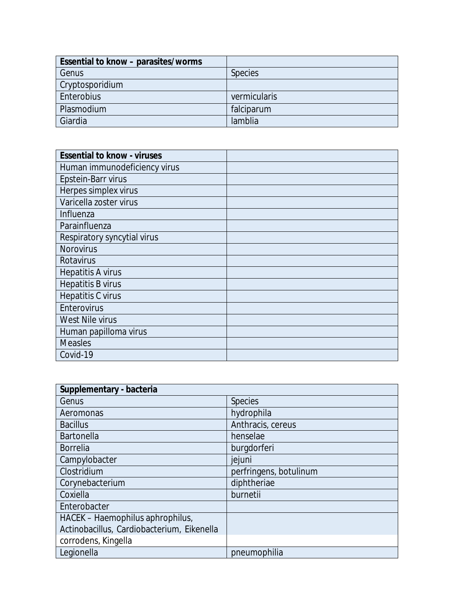| <b>Essential to know - parasites/worms</b> |                |
|--------------------------------------------|----------------|
| <b>Genus</b>                               | <b>Species</b> |
| <b>Cryptosporidium</b>                     |                |
| <b>Enterobius</b>                          | vermicularis   |
| <b>Plasmodium</b>                          | falciparum     |
| <b>Giardia</b>                             | lamblia        |

| <b>Essential to know - viruses</b> |  |
|------------------------------------|--|
| Human immunodeficiency virus       |  |
| <b>Epstein-Barr virus</b>          |  |
| Herpes simplex virus               |  |
| Varicella zoster virus             |  |
| <b>Influenza</b>                   |  |
| Parainfluenza                      |  |
| <b>Respiratory syncytial virus</b> |  |
| <b>Norovirus</b>                   |  |
| <b>Rotavirus</b>                   |  |
| <b>Hepatitis A virus</b>           |  |
| <b>Hepatitis B virus</b>           |  |
| <b>Hepatitis C virus</b>           |  |
| <b>Enterovirus</b>                 |  |
| <b>West Nile virus</b>             |  |
| Human papilloma virus              |  |
| <b>Measles</b>                     |  |
| Covid-19                           |  |

| Supplementary - bacteria                   |                        |
|--------------------------------------------|------------------------|
| <b>Genus</b>                               | <b>Species</b>         |
| <b>Aeromonas</b>                           | hydrophila             |
| <b>Bacillus</b>                            | Anthracis, cereus      |
| <b>Bartonella</b>                          | henselae               |
| <b>Borrelia</b>                            | burgdorferi            |
| Campylobacter                              | jejuni                 |
| <b>Clostridium</b>                         | perfringens, botulinum |
| Corynebacterium                            | diphtheriae            |
| Coxiella                                   | burnetii               |
| <b>Enterobacter</b>                        |                        |
| HACEK - Haemophilus aphrophilus,           |                        |
| Actinobacillus, Cardiobacterium, Eikenella |                        |
| corrodens, Kingella                        |                        |
| Legionella                                 | pneumophilia           |